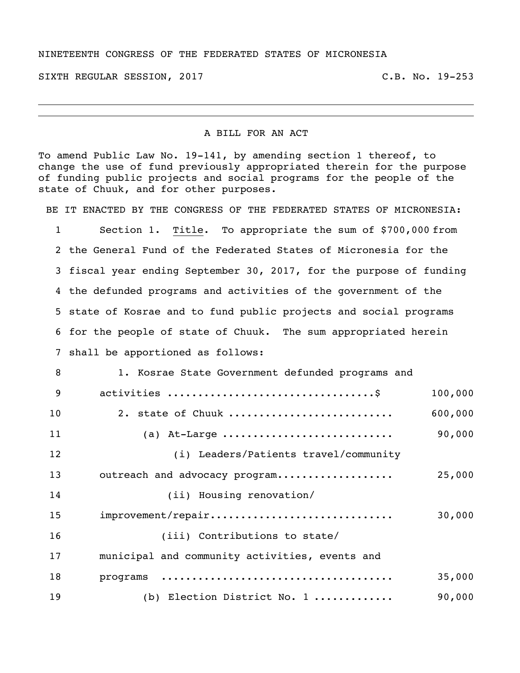## NINETEENTH CONGRESS OF THE FEDERATED STATES OF MICRONESIA

SIXTH REGULAR SESSION, 2017 THE REGULAR SESSION, 2017

## A BILL FOR AN ACT

To amend Public Law No. 19-141, by amending section 1 thereof, to change the use of fund previously appropriated therein for the purpose of funding public projects and social programs for the people of the state of Chuuk, and for other purposes.

BE IT ENACTED BY THE CONGRESS OF THE FEDERATED STATES OF MICRONESIA:

 Section 1. Title. To appropriate the sum of \$700,000 from the General Fund of the Federated States of Micronesia for the fiscal year ending September 30, 2017, for the purpose of funding the defunded programs and activities of the government of the state of Kosrae and to fund public projects and social programs for the people of state of Chuuk. The sum appropriated herein shall be apportioned as follows:

| 8  | 1. Kosrae State Government defunded programs and |         |
|----|--------------------------------------------------|---------|
| 9  |                                                  | 100,000 |
| 10 | 2. state of Chuuk                                | 600,000 |
| 11 | (a) At-Large                                     | 90,000  |
| 12 | (i) Leaders/Patients travel/community            |         |
| 13 | outreach and advocacy program                    | 25,000  |
| 14 | (ii) Housing renovation/                         |         |
| 15 | improvement/repair                               | 30,000  |
| 16 | (iii) Contributions to state/                    |         |
| 17 | municipal and community activities, events and   |         |
| 18 |                                                  | 35,000  |
| 19 | (b) Election District No. 1                      | 90,000  |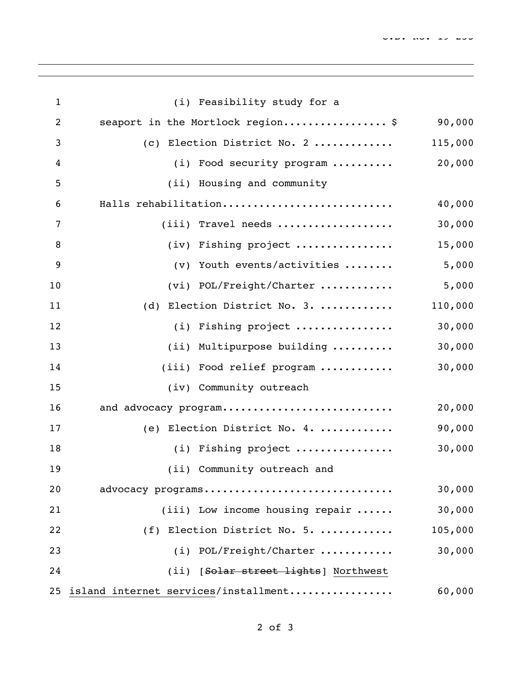| $\mathbf{1}$   |     | (i) Feasibility study for a              |         |
|----------------|-----|------------------------------------------|---------|
| $\overline{2}$ |     | seaport in the Mortlock region\$         | 90,000  |
| 3              |     | (c) Election District No. 2              | 115,000 |
| 4              |     | (i) Food security program                | 20,000  |
| 5              |     | (ii) Housing and community               |         |
| 6              |     | Halls rehabilitation                     | 40,000  |
| 7              |     | $(iii)$ Travel needs                     | 30,000  |
| 8              |     | (iv) Fishing project                     | 15,000  |
| 9              | (v) | Youth events/activities                  | 5,000   |
| 10             |     | (vi) POL/Freight/Charter                 | 5,000   |
| 11             |     | (d) Election District No. 3.             | 110,000 |
| 12             |     | (i) Fishing project                      | 30,000  |
| 13             |     | (ii) Multipurpose building               | 30,000  |
| 14             |     | (iii) Food relief program                | 30,000  |
| 15             |     | (iv) Community outreach                  |         |
| 16             |     | and advocacy program                     | 20,000  |
| 17             |     | (e) Election District No. 4.             | 90,000  |
| 18             |     | (i) Fishing project                      | 30,000  |
| 19             |     | (ii) Community outreach and              |         |
| 20             |     | advocacy programs                        | 30,000  |
| 21             |     | (iii) Low income housing repair $\ldots$ | 30,000  |
| 22             |     | (f) Election District No. 5.             | 105,000 |
| 23             |     | (i) POL/Freight/Charter                  | 30,000  |
| 24             |     | (ii) [Solar street lights] Northwest     |         |
|                |     | 25 island internet services/installment  | 60,000  |